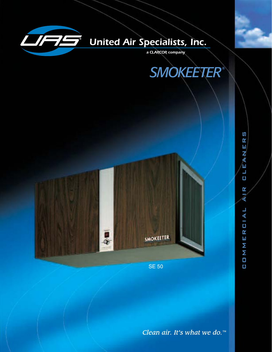

# **United Air Specialists, Inc.**

a CLARCOR company





**SE 50** 

CIAL  $\mathbf{r}$ Ш Σ Σ  $\Box$  $\Box$ 

C  $\mathbf{R}$ Ш

EAN

 $\blacksquare$ O

 $\mathbf{r}$ ∢

Clean air. It's what we do.<sup>™</sup>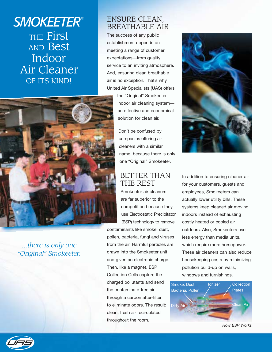# *SMOKEETER®* THE First AND Best Indoor Air Cleaner OF ITS KIND!



*...there is only one "Original" Smokeeter.*

### ENSURE CLEAN, BREATHABLE AIR

The success of any public establishment depends on meeting a range of customer expectations—from quality service to an inviting atmosphere. And, ensuring clean breathable air is no exception. That's why United Air Specialists (UAS) offers

> the "Original" Smokeeter indoor air cleaning system an effective and economical solution for clean air.

Don't be confused by companies offering air cleaners with a similar name, because there is only one "Original" Smokeeter.

### BETTER THAN THE REST

Smokeeter air cleaners are far superior to the competition because they use Electrostatic Precipitator (ESP) technology to remove

contaminants like smoke, dust, pollen, bacteria, fungi and viruses from the air. Harmful particles are drawn into the Smokeeter unit and given an electronic charge. Then, like a magnet, ESP Collection Cells capture the charged pollutants and send the contaminate-free air through a carbon after-filter to eliminate odors. The result: clean, fresh air recirculated throughout the room.



In addition to ensuring cleaner air for your customers, guests and employees, Smokeeters can actually lower utility bills. These systems keep cleaned air moving indoors instead of exhausting costly heated or cooled air outdoors. Also, Smokeeters use less energy than media units, which require more horsepower. These air cleaners can also reduce housekeeping costs by minimizing pollution build-up on walls, windows and furnishings.



*How ESP Works*

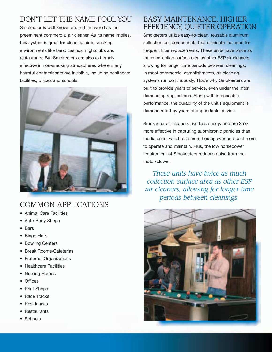### DON'T LET THE NAME FOOL YOU

Smokeeter is well known around the world as the preeminent commercial air cleaner. As its name implies, this system is great for cleaning air in smoking environments like bars, casinos, nightclubs and restaurants. But Smokeeters are also extremely effective in non-smoking atmospheres where many harmful contaminants are invisible, including healthcare facilities, offices and schools.



### COMMON APPLICATIONS

- Animal Care Facilities
- Auto Body Shops
- Bars
- Bingo Halls
- Bowling Centers
- Break Rooms/Cafeterias
- Fraternal Organizations
- Healthcare Facilities
- Nursing Homes
- Offices
- Print Shops
- Race Tracks
- **Residences**
- **Restaurants**
- **Schools**

### EASY MAINTENANCE, HIGHER EFFICIENCY, QUIETER OPERATION

Smokeeters utilize easy-to-clean, reusable aluminum collection cell components that eliminate the need for frequent filter replacements. These units have twice as much collection surface area as other ESP air cleaners. allowing for longer time periods between cleanings. In most commercial establishments, air cleaning systems run continuously. That's why Smokeeters are built to provide years of service, even under the most demanding applications. Along with impeccable performance, the durability of the unit's equipment is demonstrated by years of dependable service.

Smokeeter air cleaners use less energy and are 35% more effective in capturing submicronic particles than media units, which use more horsepower and cost more to operate and maintain. Plus, the low horsepower requirement of Smokeeters reduces noise from the motor/blower.

*These units have twice as much collection surface area as other ESP air cleaners, allowing for longer time periods between cleanings.*

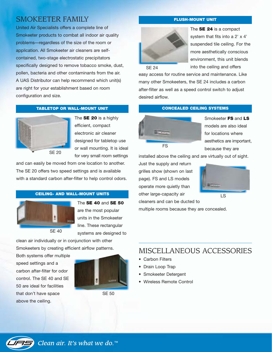### SMOKEETER FAMILY

United Air Specialists offers a complete line of Smokeeter products to combat all indoor air quality problems—regardless of the size of the room or application. All Smokeeter air cleaners are selfcontained, two-stage electrostatic precipitators specifically designed to remove tobacco smoke, dust, pollen, bacteria and other contaminants from the air. A UAS Distributor can help recommend which unit(s) are right for your establishment based on room configuration and size.

#### **TABLETOP OR WALL-MOUNT UNIT CONCEALED CEILING SYSTEMS**



The **SE 20** is a highly efficient, compact electronic air cleaner designed for tabletop use or wall mounting. It is ideal for very small room settings

and can easily be moved from one location to another. The SE 20 offers two speed settings and is available with a standard carbon after-filter to help control odors.

#### **CEILING- AND WALL-MOUNT UNITS**



The **SE 40** and **SE 50** are the most popular units in the Smokeeter line. These rectangular

systems are designed to

clean air individually or in conjunction with other Smokeeters by creating efficient airflow patterns.

Both systems offer multiple speed settings and a carbon after-filter for odor control. The SE 40 and SE 50 are ideal for facilities that don't have space above the ceiling.



SE 50

#### **FLUSH-MOUNT UNIT**



The **SE 24** is a compact system that fits into a 2' x 4' suspended tile ceiling. For the more aesthetically conscious environment, this unit blends into the ceiling and offers

easy access for routine service and maintenance. Like many other Smokeeters, the SE 24 includes a carbon after-filter as well as a speed control switch to adjust desired airflow.



Smokeeter **FS** and **LS** models are also ideal for locations where aesthetics are important, because they are

installed above the ceiling and are virtually out of sight.

Just the supply and return grilles show (shown on last page). FS and LS models operate more quietly than other large-capacity air cleaners and can be ducted to



 $\overline{LS}$ 

multiple rooms because they are concealed.

### MISCELLANEOUS ACCESSORIES

- Carbon Filters
- Drain Loop Trap
- Smokeeter Detergent
- Wireless Remote Control

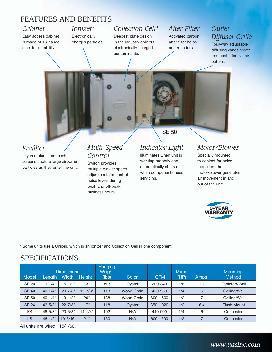### FEATURES AND BENEFITS

#### *Cabinet*

Easy access cabinet is made of 18-gauge steel for durability.

#### *Ionizer\** **Electronically** charges particles.

### *Collection Cell\**

Deepest plate design in the industry collects electronically charged contaminants.

#### *After-Filter* Activated carbon after-filter helps control odors.

### *Outlet Diffuser Grille*

Four-way adjustable

### *Prefilter*

Layered aluminum mesh screens capture large airborne particles as they enter the unit.

#### *Multi-Speed Control*

Switch provides multiple blower speed adjustments to control noise levels during peak and off-peak business hours.

SE 50

## *Indicator Light*

Illuminates when unit is working properly and automatically shuts off when components need servicing.

#### *Motor/Blower*

Specially mounted to cabinet for noise reduction, the motor/blower generates air movement in and out of the unit.



\* Some units use a Unicell, which is an Ionizer and Collection Cell in one component.

#### SPECIFICATIONS Hanging<br>Weight Dimensions Meight Motor Motor Mounting Model Length Width Height (lbs) Color CFM (HP) Amps Method SE 20 19-1/4" 15-1/2" 13" 39.5 Oyster 200-340 1/8 1.2 Tabletop/Wall SE 40 | 40-1/4" | 20-7/8" | 12-7/8" | 113 | Wood Grain | 450-950 | 1/4 | 6 | Ceiling/Wall SE 50 40-1/4" 19-1/2" 20" 138 Wood Grain 600-1,500 1/2 7 Ceiling/Wall SE 24 46-5/8" 22-7/8" 17" 118 Oyster 350-1,020 1/2 6.4 Flush Mount FS 46-5/8" 20-5/8" 14-1/4" 102 N/A 440-900 1/4 6 Concealed LS | 46-1/2" | 19-5/16" | 21" | 150 | N/A | 600-1,500 | 1/2 | 7 | Concealed

All units are wired 115/1/60.

#### diffusing vanes create the most effective air pattern.

*www.uasinc.com*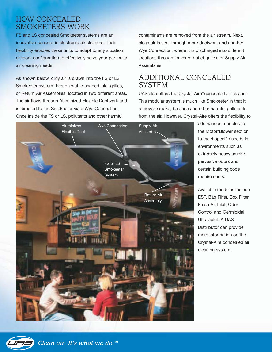### HOW CONCEALED SMOKEETERS WORK

FS and LS concealed Smokeeter systems are an innovative concept in electronic air cleaners. Their flexibility enables these units to adapt to any situation or room configuration to effectively solve your particular air cleaning needs.

As shown below, dirty air is drawn into the FS or LS Smokeeter system through waffle-shaped inlet grilles, or Return Air Assemblies, located in two different areas. The air flows through Aluminized Flexible Ductwork and is directed to the Smokeeter via a Wye Connection. Once inside the FS or LS, pollutants and other harmful

contaminants are removed from the air stream. Next, clean air is sent through more ductwork and another Wye Connection, where it is discharged into different locations through louvered outlet grilles, or Supply Air Assemblies.

### ADDITIONAL CONCEALED SYSTEM

UAS also offers the Crystal-Aire® concealed air cleaner. This modular system is much like Smokeeter in that it removes smoke, bacteria and other harmful pollutants from the air. However, Crystal-Aire offers the flexibility to



add various modules to the Motor/Blower section to meet specific needs in environments such as extremely heavy smoke, pervasive odors and certain building code requirements.

Available modules include ESP, Bag Filter, Box Filter, Fresh Air Inlet, Odor Control and Germicidal Ultraviolet. A UAS Distributor can provide more information on the Crystal-Aire concealed air cleaning system.

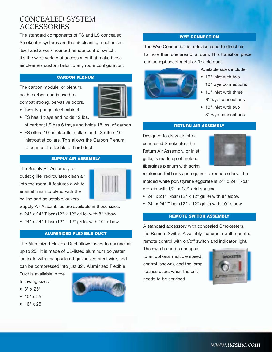### CONCEALED SYSTEM ACCESSORIES

The standard components of FS and LS concealed Smokeeter systems are the air cleaning mechanism itself and a wall-mounted remote control switch. It's the wide variety of accessories that make these air cleaners custom tailor to any room configuration.

#### **CARBON PLENUM**

The carbon module, or plenum, holds carbon and is used to combat strong, pervasive odors.



- Twenty-gauge steel cabinet
- FS has 4 trays and holds 12 lbs.

of carbon; LS has 6 trays and holds 18 lbs. of carbon.

• FS offers 10" inlet/outlet collars and LS offers 16" inlet/outlet collars. This allows the Carbon Plenum to connect to flexible or hard duct.

#### **SUPPLY AIR ASSEMBLY**

The Supply Air Assembly, or outlet grille, recirculates clean air into the room. It features a white enamel finish to blend with the ceiling and adjustable louvers.



Supply Air Assemblies are available in these sizes:

- 24" x 24" T-bar (12" x 12" grille) with  $8$ " elbow
- 24" x 24" T-bar (12" x 12" grille) with 10" elbow

#### **ALUMINIZED FLEXIBLE DUCT**

The Aluminized Flexible Duct allows users to channel air up to 25'. It is made of UL-listed aluminum polyester laminate with encapsulated galvanized steel wire, and can be compressed into just 32". Aluminized Flexible

Duct is available in the following sizes:

- 8" x 25'
- 10" x 25'
- 16" x 25'



#### **WYE CONNECTION**

The Wye Connection is a device used to direct air to more than one area of a room. This transition piece can accept sheet metal or flexible duct.



Available sizes include:

- 16" inlet with two 10" wye connections
- 16" inlet with three 8" wye connections
- 10" inlet with two 8" wye connections

#### **RETURN AIR ASSEMBLY**

Designed to draw air into a concealed Smokeeter, the Return Air Assembly, or inlet grille, is made up of molded fiberglass plenum with scrim



reinforced foil back and square-to-round collars. The molded white polystyrene eggcrate is 24" x 24" T-bar drop-in with 1/2" x 1/2" grid spacing.

- 24" x 24" T-bar (12" x 12" grille) with 8" elbow
- 24" x 24" T-bar (12" x 12" grille) with 10" elbow

#### **REMOTE SWITCH ASSEMBLY**

A standard accessory with concealed Smokeeters, the Remote Switch Assembly features a wall-mounted remote control with on/off switch and indicator light.

The switch can be changed to an optional multiple speed control (shown), and the lamp notifies users when the unit needs to be serviced.